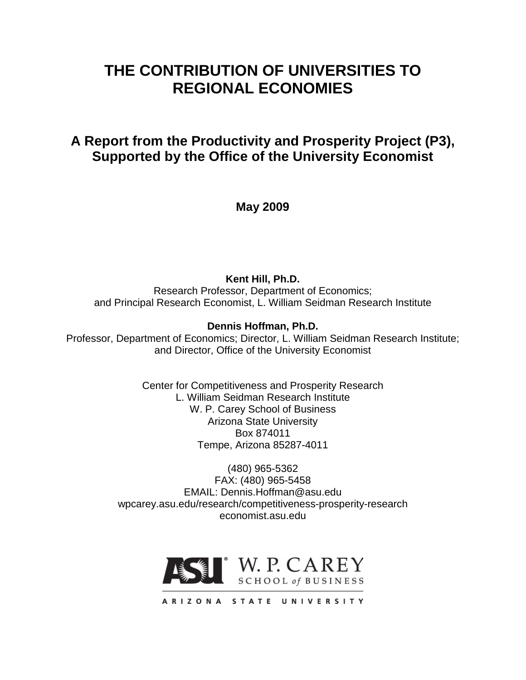# **THE CONTRIBUTION OF UNIVERSITIES TO REGIONAL ECONOMIES**

# **A Report from the Productivity and Prosperity Project (P3), Supported by the Office of the University Economist**

**May 2009**

**Kent Hill, Ph.D.**

Research Professor, Department of Economics; and Principal Research Economist, L. William Seidman Research Institute

## **Dennis Hoffman, Ph.D.**

Professor, Department of Economics; Director, L. William Seidman Research Institute; and Director, Office of the University Economist

> Center for Competitiveness and Prosperity Research L. William Seidman Research Institute W. P. Carey School of Business Arizona State University Box 874011 Tempe, Arizona 85287-4011

(480) 965-5362 FAX: (480) 965-5458 EMAIL: Dennis.Hoffman@asu.edu wpcarey.asu.edu/research/competitiveness-prosperity-research economist.asu.edu



ARIZONA STATE UNIVERSITY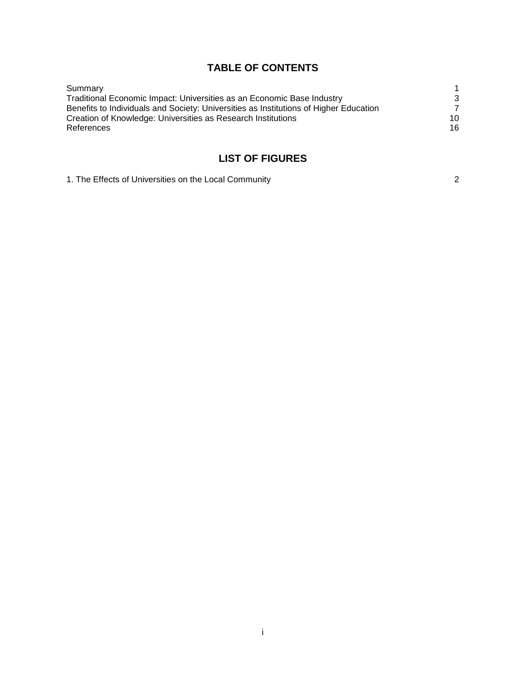## **TABLE OF CONTENTS**

| Summary                                                                               |    |
|---------------------------------------------------------------------------------------|----|
| Traditional Economic Impact: Universities as an Economic Base Industry                | 3  |
| Benefits to Individuals and Society: Universities as Institutions of Higher Education |    |
| Creation of Knowledge: Universities as Research Institutions                          | 10 |
| References                                                                            | 16 |
|                                                                                       |    |

# **LIST OF FIGURES**

| 1. The Effects of Universities on the Local Community |  |
|-------------------------------------------------------|--|
|-------------------------------------------------------|--|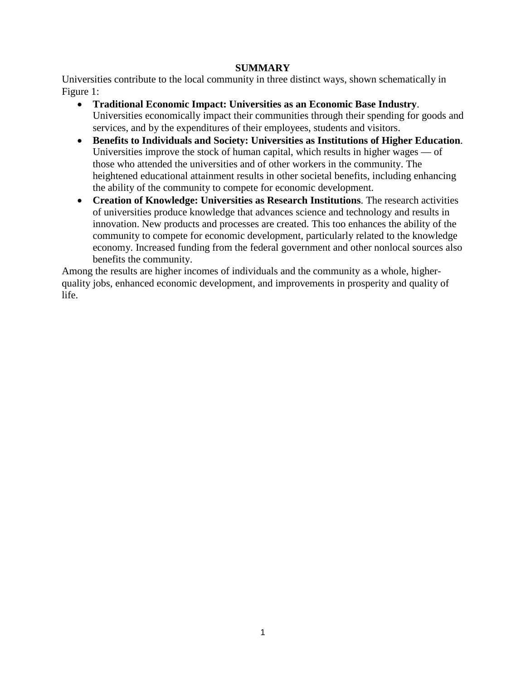#### **SUMMARY**

Universities contribute to the local community in three distinct ways, shown schematically in Figure 1:

- **Traditional Economic Impact: Universities as an Economic Base Industry**. Universities economically impact their communities through their spending for goods and services, and by the expenditures of their employees, students and visitors.
- **Benefits to Individuals and Society: Universities as Institutions of Higher Education**. Universities improve the stock of human capital, which results in higher wages — of those who attended the universities and of other workers in the community. The heightened educational attainment results in other societal benefits, including enhancing the ability of the community to compete for economic development.
- **Creation of Knowledge: Universities as Research Institutions**. The research activities of universities produce knowledge that advances science and technology and results in innovation. New products and processes are created. This too enhances the ability of the community to compete for economic development, particularly related to the knowledge economy. Increased funding from the federal government and other nonlocal sources also benefits the community.

Among the results are higher incomes of individuals and the community as a whole, higherquality jobs, enhanced economic development, and improvements in prosperity and quality of life.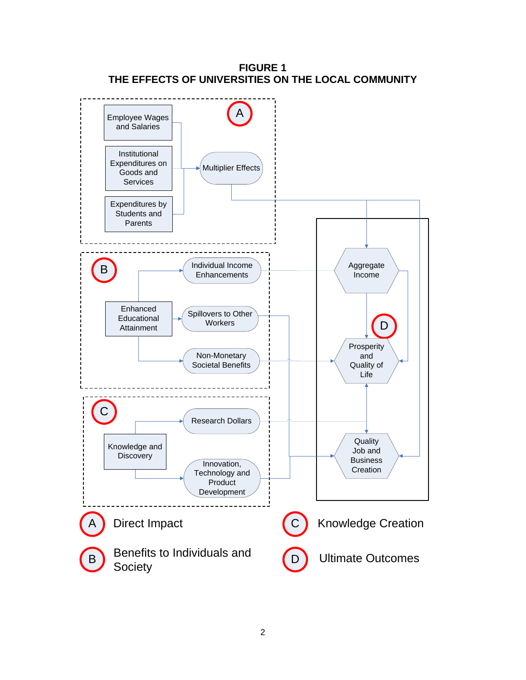

**FIGURE 1 THE EFFECTS OF UNIVERSITIES ON THE LOCAL COMMUNITY**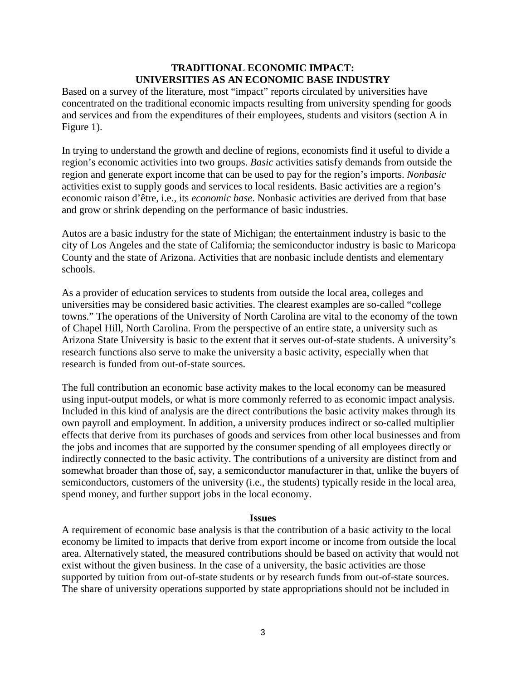## **TRADITIONAL ECONOMIC IMPACT: UNIVERSITIES AS AN ECONOMIC BASE INDUSTRY**

Based on a survey of the literature, most "impact" reports circulated by universities have concentrated on the traditional economic impacts resulting from university spending for goods and services and from the expenditures of their employees, students and visitors (section A in Figure 1).

In trying to understand the growth and decline of regions, economists find it useful to divide a region's economic activities into two groups. *Basic* activities satisfy demands from outside the region and generate export income that can be used to pay for the region's imports. *Nonbasic*  activities exist to supply goods and services to local residents. Basic activities are a region's economic raison d'être, i.e., its *economic base*. Nonbasic activities are derived from that base and grow or shrink depending on the performance of basic industries.

Autos are a basic industry for the state of Michigan; the entertainment industry is basic to the city of Los Angeles and the state of California; the semiconductor industry is basic to Maricopa County and the state of Arizona. Activities that are nonbasic include dentists and elementary schools.

As a provider of education services to students from outside the local area, colleges and universities may be considered basic activities. The clearest examples are so-called "college towns." The operations of the University of North Carolina are vital to the economy of the town of Chapel Hill, North Carolina. From the perspective of an entire state, a university such as Arizona State University is basic to the extent that it serves out-of-state students. A university's research functions also serve to make the university a basic activity, especially when that research is funded from out-of-state sources.

The full contribution an economic base activity makes to the local economy can be measured using input-output models, or what is more commonly referred to as economic impact analysis. Included in this kind of analysis are the direct contributions the basic activity makes through its own payroll and employment. In addition, a university produces indirect or so-called multiplier effects that derive from its purchases of goods and services from other local businesses and from the jobs and incomes that are supported by the consumer spending of all employees directly or indirectly connected to the basic activity. The contributions of a university are distinct from and somewhat broader than those of, say, a semiconductor manufacturer in that, unlike the buyers of semiconductors, customers of the university (i.e., the students) typically reside in the local area, spend money, and further support jobs in the local economy.

#### **Issues**

A requirement of economic base analysis is that the contribution of a basic activity to the local economy be limited to impacts that derive from export income or income from outside the local area. Alternatively stated, the measured contributions should be based on activity that would not exist without the given business. In the case of a university, the basic activities are those supported by tuition from out-of-state students or by research funds from out-of-state sources. The share of university operations supported by state appropriations should not be included in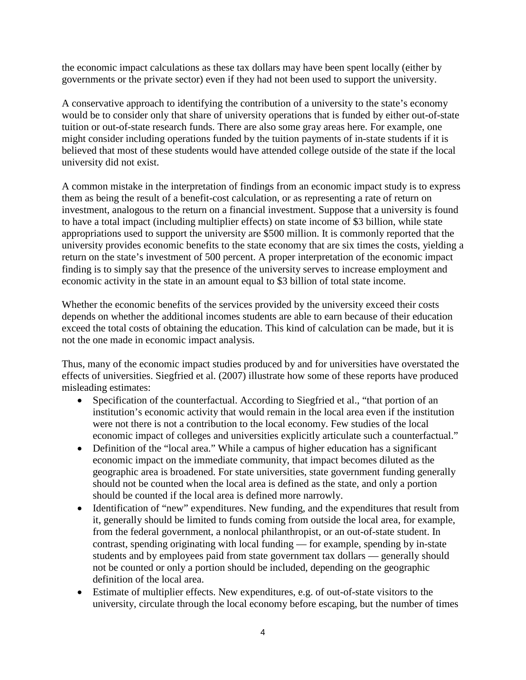the economic impact calculations as these tax dollars may have been spent locally (either by governments or the private sector) even if they had not been used to support the university.

A conservative approach to identifying the contribution of a university to the state's economy would be to consider only that share of university operations that is funded by either out-of-state tuition or out-of-state research funds. There are also some gray areas here. For example, one might consider including operations funded by the tuition payments of in-state students if it is believed that most of these students would have attended college outside of the state if the local university did not exist.

A common mistake in the interpretation of findings from an economic impact study is to express them as being the result of a benefit-cost calculation, or as representing a rate of return on investment, analogous to the return on a financial investment. Suppose that a university is found to have a total impact (including multiplier effects) on state income of \$3 billion, while state appropriations used to support the university are \$500 million. It is commonly reported that the university provides economic benefits to the state economy that are six times the costs, yielding a return on the state's investment of 500 percent. A proper interpretation of the economic impact finding is to simply say that the presence of the university serves to increase employment and economic activity in the state in an amount equal to \$3 billion of total state income.

Whether the economic benefits of the services provided by the university exceed their costs depends on whether the additional incomes students are able to earn because of their education exceed the total costs of obtaining the education. This kind of calculation can be made, but it is not the one made in economic impact analysis.

Thus, many of the economic impact studies produced by and for universities have overstated the effects of universities. Siegfried et al. (2007) illustrate how some of these reports have produced misleading estimates:

- Specification of the counterfactual. According to Siegfried et al., "that portion of an institution's economic activity that would remain in the local area even if the institution were not there is not a contribution to the local economy. Few studies of the local economic impact of colleges and universities explicitly articulate such a counterfactual."
- Definition of the "local area." While a campus of higher education has a significant economic impact on the immediate community, that impact becomes diluted as the geographic area is broadened. For state universities, state government funding generally should not be counted when the local area is defined as the state, and only a portion should be counted if the local area is defined more narrowly.
- Identification of "new" expenditures. New funding, and the expenditures that result from it, generally should be limited to funds coming from outside the local area, for example, from the federal government, a nonlocal philanthropist, or an out-of-state student. In contrast, spending originating with local funding — for example, spending by in-state students and by employees paid from state government tax dollars — generally should not be counted or only a portion should be included, depending on the geographic definition of the local area.
- Estimate of multiplier effects. New expenditures, e.g. of out-of-state visitors to the university, circulate through the local economy before escaping, but the number of times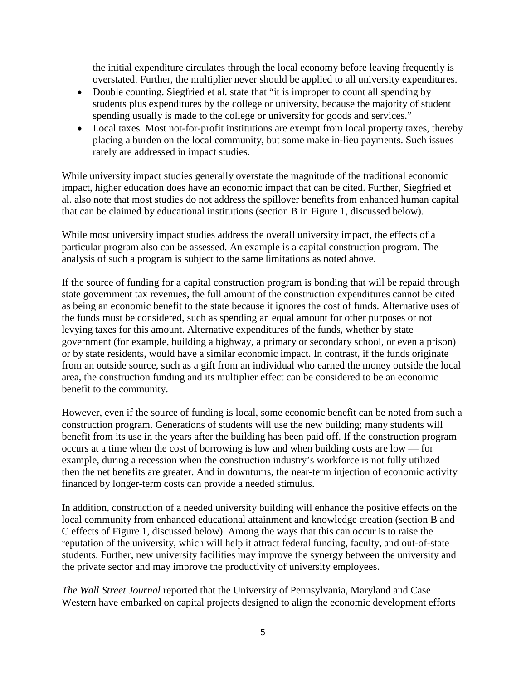the initial expenditure circulates through the local economy before leaving frequently is overstated. Further, the multiplier never should be applied to all university expenditures.

- Double counting. Siegfried et al. state that "it is improper to count all spending by students plus expenditures by the college or university, because the majority of student spending usually is made to the college or university for goods and services."
- Local taxes. Most not-for-profit institutions are exempt from local property taxes, thereby placing a burden on the local community, but some make in-lieu payments. Such issues rarely are addressed in impact studies.

While university impact studies generally overstate the magnitude of the traditional economic impact, higher education does have an economic impact that can be cited. Further, Siegfried et al. also note that most studies do not address the spillover benefits from enhanced human capital that can be claimed by educational institutions (section B in Figure 1, discussed below).

While most university impact studies address the overall university impact, the effects of a particular program also can be assessed. An example is a capital construction program. The analysis of such a program is subject to the same limitations as noted above.

If the source of funding for a capital construction program is bonding that will be repaid through state government tax revenues, the full amount of the construction expenditures cannot be cited as being an economic benefit to the state because it ignores the cost of funds. Alternative uses of the funds must be considered, such as spending an equal amount for other purposes or not levying taxes for this amount. Alternative expenditures of the funds, whether by state government (for example, building a highway, a primary or secondary school, or even a prison) or by state residents, would have a similar economic impact. In contrast, if the funds originate from an outside source, such as a gift from an individual who earned the money outside the local area, the construction funding and its multiplier effect can be considered to be an economic benefit to the community.

However, even if the source of funding is local, some economic benefit can be noted from such a construction program. Generations of students will use the new building; many students will benefit from its use in the years after the building has been paid off. If the construction program occurs at a time when the cost of borrowing is low and when building costs are low — for example, during a recession when the construction industry's workforce is not fully utilized then the net benefits are greater. And in downturns, the near-term injection of economic activity financed by longer-term costs can provide a needed stimulus.

In addition, construction of a needed university building will enhance the positive effects on the local community from enhanced educational attainment and knowledge creation (section B and C effects of Figure 1, discussed below). Among the ways that this can occur is to raise the reputation of the university, which will help it attract federal funding, faculty, and out-of-state students. Further, new university facilities may improve the synergy between the university and the private sector and may improve the productivity of university employees.

*The Wall Street Journal* reported that the University of Pennsylvania, Maryland and Case Western have embarked on capital projects designed to align the economic development efforts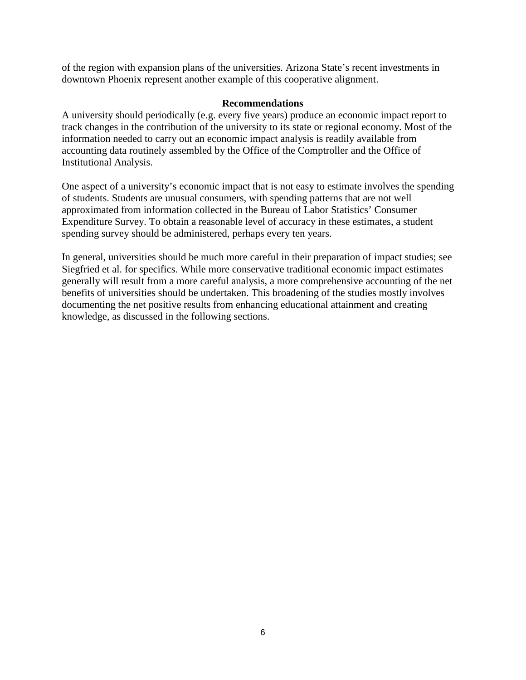of the region with expansion plans of the universities. Arizona State's recent investments in downtown Phoenix represent another example of this cooperative alignment.

#### **Recommendations**

A university should periodically (e.g. every five years) produce an economic impact report to track changes in the contribution of the university to its state or regional economy. Most of the information needed to carry out an economic impact analysis is readily available from accounting data routinely assembled by the Office of the Comptroller and the Office of Institutional Analysis.

One aspect of a university's economic impact that is not easy to estimate involves the spending of students. Students are unusual consumers, with spending patterns that are not well approximated from information collected in the Bureau of Labor Statistics' Consumer Expenditure Survey. To obtain a reasonable level of accuracy in these estimates, a student spending survey should be administered, perhaps every ten years.

In general, universities should be much more careful in their preparation of impact studies; see Siegfried et al. for specifics. While more conservative traditional economic impact estimates generally will result from a more careful analysis, a more comprehensive accounting of the net benefits of universities should be undertaken. This broadening of the studies mostly involves documenting the net positive results from enhancing educational attainment and creating knowledge, as discussed in the following sections.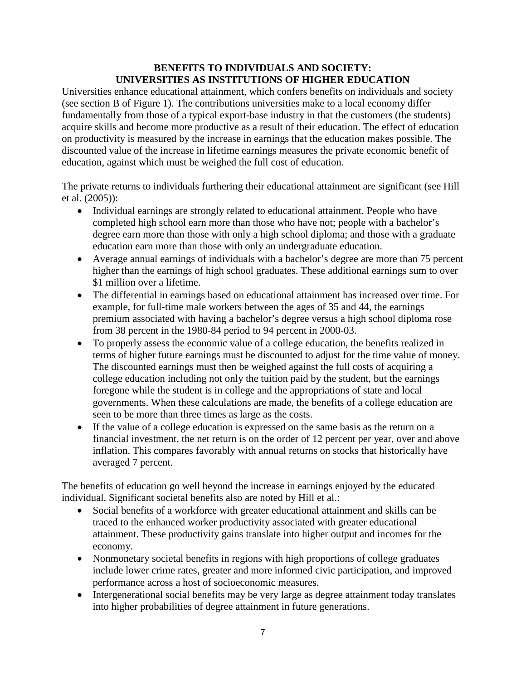### **BENEFITS TO INDIVIDUALS AND SOCIETY: UNIVERSITIES AS INSTITUTIONS OF HIGHER EDUCATION**

Universities enhance educational attainment, which confers benefits on individuals and society (see section B of Figure 1). The contributions universities make to a local economy differ fundamentally from those of a typical export-base industry in that the customers (the students) acquire skills and become more productive as a result of their education. The effect of education on productivity is measured by the increase in earnings that the education makes possible. The discounted value of the increase in lifetime earnings measures the private economic benefit of education, against which must be weighed the full cost of education.

The private returns to individuals furthering their educational attainment are significant (see Hill et al. (2005)):

- Individual earnings are strongly related to educational attainment. People who have completed high school earn more than those who have not; people with a bachelor's degree earn more than those with only a high school diploma; and those with a graduate education earn more than those with only an undergraduate education.
- Average annual earnings of individuals with a bachelor's degree are more than 75 percent higher than the earnings of high school graduates. These additional earnings sum to over \$1 million over a lifetime.
- The differential in earnings based on educational attainment has increased over time. For example, for full-time male workers between the ages of 35 and 44, the earnings premium associated with having a bachelor's degree versus a high school diploma rose from 38 percent in the 1980-84 period to 94 percent in 2000-03.
- To properly assess the economic value of a college education, the benefits realized in terms of higher future earnings must be discounted to adjust for the time value of money. The discounted earnings must then be weighed against the full costs of acquiring a college education including not only the tuition paid by the student, but the earnings foregone while the student is in college and the appropriations of state and local governments. When these calculations are made, the benefits of a college education are seen to be more than three times as large as the costs.
- If the value of a college education is expressed on the same basis as the return on a financial investment, the net return is on the order of 12 percent per year, over and above inflation. This compares favorably with annual returns on stocks that historically have averaged 7 percent.

The benefits of education go well beyond the increase in earnings enjoyed by the educated individual. Significant societal benefits also are noted by Hill et al.:

- Social benefits of a workforce with greater educational attainment and skills can be traced to the enhanced worker productivity associated with greater educational attainment. These productivity gains translate into higher output and incomes for the economy.
- Nonmonetary societal benefits in regions with high proportions of college graduates include lower crime rates, greater and more informed civic participation, and improved performance across a host of socioeconomic measures.
- Intergenerational social benefits may be very large as degree attainment today translates into higher probabilities of degree attainment in future generations.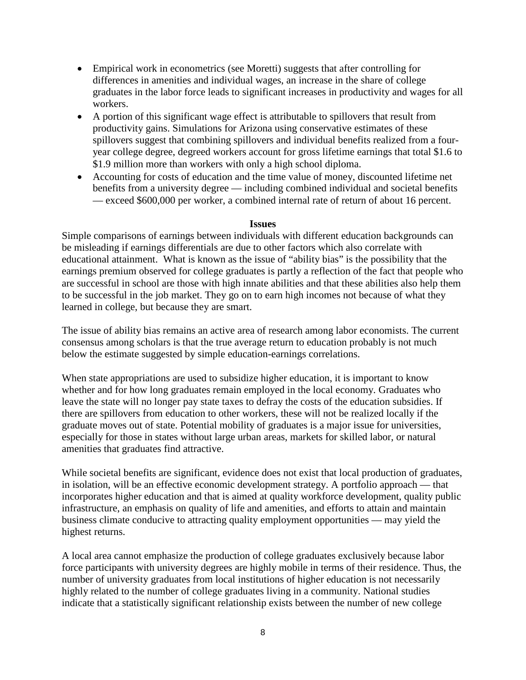- Empirical work in econometrics (see Moretti) suggests that after controlling for differences in amenities and individual wages, an increase in the share of college graduates in the labor force leads to significant increases in productivity and wages for all workers.
- A portion of this significant wage effect is attributable to spillovers that result from productivity gains. Simulations for Arizona using conservative estimates of these spillovers suggest that combining spillovers and individual benefits realized from a fouryear college degree, degreed workers account for gross lifetime earnings that total \$1.6 to \$1.9 million more than workers with only a high school diploma.
- Accounting for costs of education and the time value of money, discounted lifetime net benefits from a university degree — including combined individual and societal benefits — exceed \$600,000 per worker, a combined internal rate of return of about 16 percent.

#### **Issues**

Simple comparisons of earnings between individuals with different education backgrounds can be misleading if earnings differentials are due to other factors which also correlate with educational attainment. What is known as the issue of "ability bias" is the possibility that the earnings premium observed for college graduates is partly a reflection of the fact that people who are successful in school are those with high innate abilities and that these abilities also help them to be successful in the job market. They go on to earn high incomes not because of what they learned in college, but because they are smart.

The issue of ability bias remains an active area of research among labor economists. The current consensus among scholars is that the true average return to education probably is not much below the estimate suggested by simple education-earnings correlations.

When state appropriations are used to subsidize higher education, it is important to know whether and for how long graduates remain employed in the local economy. Graduates who leave the state will no longer pay state taxes to defray the costs of the education subsidies. If there are spillovers from education to other workers, these will not be realized locally if the graduate moves out of state. Potential mobility of graduates is a major issue for universities, especially for those in states without large urban areas, markets for skilled labor, or natural amenities that graduates find attractive.

While societal benefits are significant, evidence does not exist that local production of graduates, in isolation, will be an effective economic development strategy. A portfolio approach — that incorporates higher education and that is aimed at quality workforce development, quality public infrastructure, an emphasis on quality of life and amenities, and efforts to attain and maintain business climate conducive to attracting quality employment opportunities — may yield the highest returns.

A local area cannot emphasize the production of college graduates exclusively because labor force participants with university degrees are highly mobile in terms of their residence. Thus, the number of university graduates from local institutions of higher education is not necessarily highly related to the number of college graduates living in a community. National studies indicate that a statistically significant relationship exists between the number of new college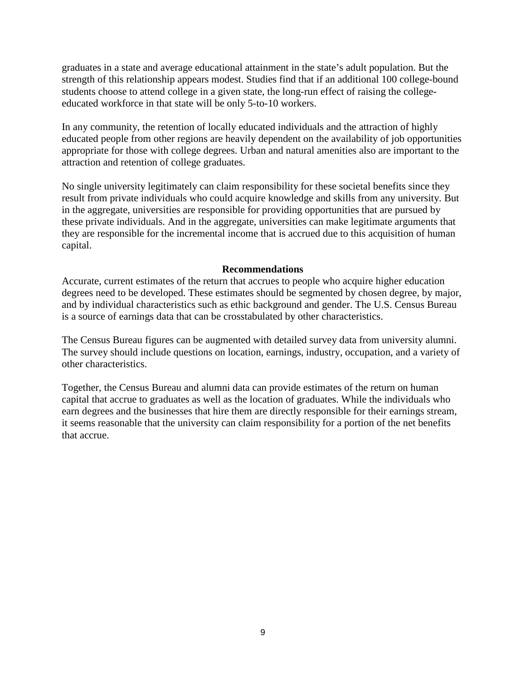graduates in a state and average educational attainment in the state's adult population. But the strength of this relationship appears modest. Studies find that if an additional 100 college-bound students choose to attend college in a given state, the long-run effect of raising the collegeeducated workforce in that state will be only 5-to-10 workers.

In any community, the retention of locally educated individuals and the attraction of highly educated people from other regions are heavily dependent on the availability of job opportunities appropriate for those with college degrees. Urban and natural amenities also are important to the attraction and retention of college graduates.

No single university legitimately can claim responsibility for these societal benefits since they result from private individuals who could acquire knowledge and skills from any university. But in the aggregate, universities are responsible for providing opportunities that are pursued by these private individuals. And in the aggregate, universities can make legitimate arguments that they are responsible for the incremental income that is accrued due to this acquisition of human capital.

#### **Recommendations**

Accurate, current estimates of the return that accrues to people who acquire higher education degrees need to be developed. These estimates should be segmented by chosen degree, by major, and by individual characteristics such as ethic background and gender. The U.S. Census Bureau is a source of earnings data that can be crosstabulated by other characteristics.

The Census Bureau figures can be augmented with detailed survey data from university alumni. The survey should include questions on location, earnings, industry, occupation, and a variety of other characteristics.

Together, the Census Bureau and alumni data can provide estimates of the return on human capital that accrue to graduates as well as the location of graduates. While the individuals who earn degrees and the businesses that hire them are directly responsible for their earnings stream, it seems reasonable that the university can claim responsibility for a portion of the net benefits that accrue.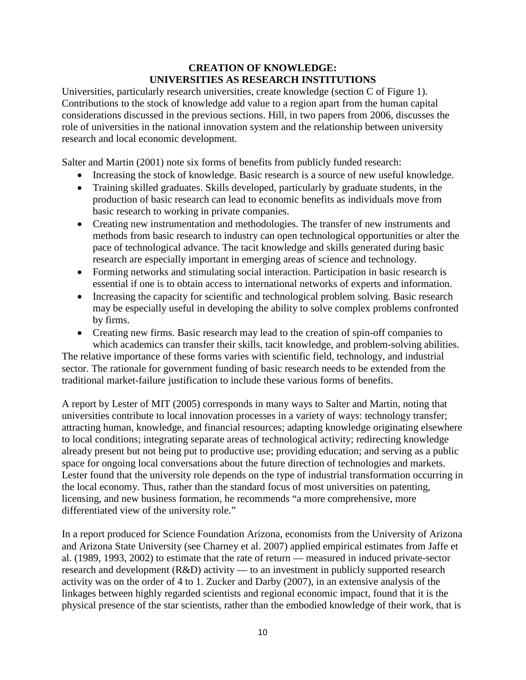## **CREATION OF KNOWLEDGE: UNIVERSITIES AS RESEARCH INSTITUTIONS**

Universities, particularly research universities, create knowledge (section C of Figure 1). Contributions to the stock of knowledge add value to a region apart from the human capital considerations discussed in the previous sections. Hill, in two papers from 2006, discusses the role of universities in the national innovation system and the relationship between university research and local economic development.

Salter and Martin (2001) note six forms of benefits from publicly funded research:

- Increasing the stock of knowledge. Basic research is a source of new useful knowledge.
- Training skilled graduates. Skills developed, particularly by graduate students, in the production of basic research can lead to economic benefits as individuals move from basic research to working in private companies.
- Creating new instrumentation and methodologies. The transfer of new instruments and methods from basic research to industry can open technological opportunities or alter the pace of technological advance. The tacit knowledge and skills generated during basic research are especially important in emerging areas of science and technology.
- Forming networks and stimulating social interaction. Participation in basic research is essential if one is to obtain access to international networks of experts and information.
- Increasing the capacity for scientific and technological problem solving. Basic research may be especially useful in developing the ability to solve complex problems confronted by firms.
- Creating new firms. Basic research may lead to the creation of spin-off companies to which academics can transfer their skills, tacit knowledge, and problem-solving abilities.

The relative importance of these forms varies with scientific field, technology, and industrial sector. The rationale for government funding of basic research needs to be extended from the traditional market-failure justification to include these various forms of benefits.

A report by Lester of MIT (2005) corresponds in many ways to Salter and Martin, noting that universities contribute to local innovation processes in a variety of ways: technology transfer; attracting human, knowledge, and financial resources; adapting knowledge originating elsewhere to local conditions; integrating separate areas of technological activity; redirecting knowledge already present but not being put to productive use; providing education; and serving as a public space for ongoing local conversations about the future direction of technologies and markets. Lester found that the university role depends on the type of industrial transformation occurring in the local economy. Thus, rather than the standard focus of most universities on patenting, licensing, and new business formation, he recommends "a more comprehensive, more differentiated view of the university role."

In a report produced for Science Foundation Arizona, economists from the University of Arizona and Arizona State University (see Charney et al. 2007) applied empirical estimates from Jaffe et al. (1989, 1993, 2002) to estimate that the rate of return — measured in induced private-sector research and development (R&D) activity — to an investment in publicly supported research activity was on the order of 4 to 1. Zucker and Darby (2007), in an extensive analysis of the linkages between highly regarded scientists and regional economic impact, found that it is the physical presence of the star scientists, rather than the embodied knowledge of their work, that is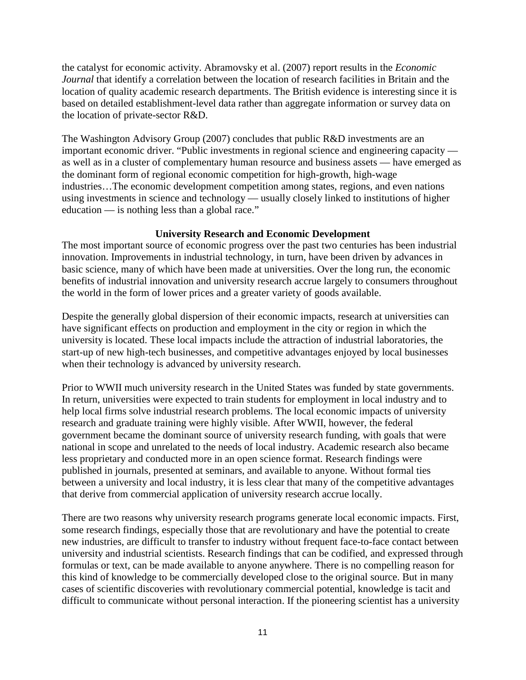the catalyst for economic activity. Abramovsky et al. (2007) report results in the *Economic Journal* that identify a correlation between the location of research facilities in Britain and the location of quality academic research departments. The British evidence is interesting since it is based on detailed establishment-level data rather than aggregate information or survey data on the location of private-sector R&D.

The Washington Advisory Group (2007) concludes that public R&D investments are an important economic driver. "Public investments in regional science and engineering capacity as well as in a cluster of complementary human resource and business assets — have emerged as the dominant form of regional economic competition for high-growth, high-wage industries…The economic development competition among states, regions, and even nations using investments in science and technology — usually closely linked to institutions of higher education — is nothing less than a global race."

## **University Research and Economic Development**

The most important source of economic progress over the past two centuries has been industrial innovation. Improvements in industrial technology, in turn, have been driven by advances in basic science, many of which have been made at universities. Over the long run, the economic benefits of industrial innovation and university research accrue largely to consumers throughout the world in the form of lower prices and a greater variety of goods available.

Despite the generally global dispersion of their economic impacts, research at universities can have significant effects on production and employment in the city or region in which the university is located. These local impacts include the attraction of industrial laboratories, the start-up of new high-tech businesses, and competitive advantages enjoyed by local businesses when their technology is advanced by university research.

Prior to WWII much university research in the United States was funded by state governments. In return, universities were expected to train students for employment in local industry and to help local firms solve industrial research problems. The local economic impacts of university research and graduate training were highly visible. After WWII, however, the federal government became the dominant source of university research funding, with goals that were national in scope and unrelated to the needs of local industry. Academic research also became less proprietary and conducted more in an open science format. Research findings were published in journals, presented at seminars, and available to anyone. Without formal ties between a university and local industry, it is less clear that many of the competitive advantages that derive from commercial application of university research accrue locally.

There are two reasons why university research programs generate local economic impacts. First, some research findings, especially those that are revolutionary and have the potential to create new industries, are difficult to transfer to industry without frequent face-to-face contact between university and industrial scientists. Research findings that can be codified, and expressed through formulas or text, can be made available to anyone anywhere. There is no compelling reason for this kind of knowledge to be commercially developed close to the original source. But in many cases of scientific discoveries with revolutionary commercial potential, knowledge is tacit and difficult to communicate without personal interaction. If the pioneering scientist has a university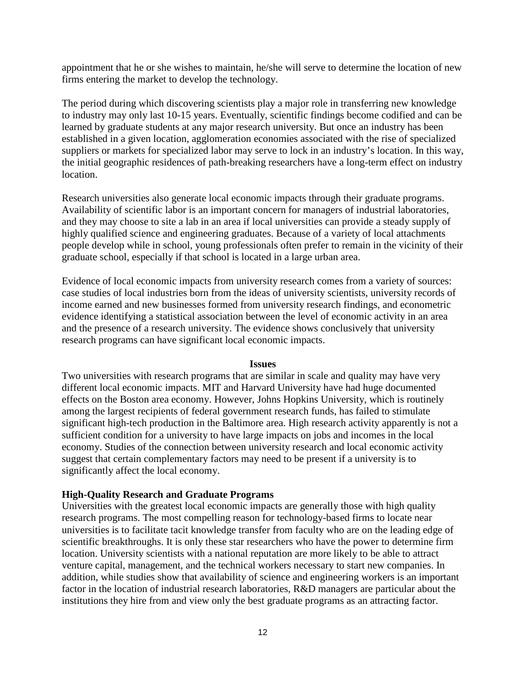appointment that he or she wishes to maintain, he/she will serve to determine the location of new firms entering the market to develop the technology.

The period during which discovering scientists play a major role in transferring new knowledge to industry may only last 10-15 years. Eventually, scientific findings become codified and can be learned by graduate students at any major research university. But once an industry has been established in a given location, agglomeration economies associated with the rise of specialized suppliers or markets for specialized labor may serve to lock in an industry's location. In this way, the initial geographic residences of path-breaking researchers have a long-term effect on industry location.

Research universities also generate local economic impacts through their graduate programs. Availability of scientific labor is an important concern for managers of industrial laboratories, and they may choose to site a lab in an area if local universities can provide a steady supply of highly qualified science and engineering graduates. Because of a variety of local attachments people develop while in school, young professionals often prefer to remain in the vicinity of their graduate school, especially if that school is located in a large urban area.

Evidence of local economic impacts from university research comes from a variety of sources: case studies of local industries born from the ideas of university scientists, university records of income earned and new businesses formed from university research findings, and econometric evidence identifying a statistical association between the level of economic activity in an area and the presence of a research university. The evidence shows conclusively that university research programs can have significant local economic impacts.

#### **Issues**

Two universities with research programs that are similar in scale and quality may have very different local economic impacts. MIT and Harvard University have had huge documented effects on the Boston area economy. However, Johns Hopkins University, which is routinely among the largest recipients of federal government research funds, has failed to stimulate significant high-tech production in the Baltimore area. High research activity apparently is not a sufficient condition for a university to have large impacts on jobs and incomes in the local economy. Studies of the connection between university research and local economic activity suggest that certain complementary factors may need to be present if a university is to significantly affect the local economy.

#### **High-Quality Research and Graduate Programs**

Universities with the greatest local economic impacts are generally those with high quality research programs. The most compelling reason for technology-based firms to locate near universities is to facilitate tacit knowledge transfer from faculty who are on the leading edge of scientific breakthroughs. It is only these star researchers who have the power to determine firm location. University scientists with a national reputation are more likely to be able to attract venture capital, management, and the technical workers necessary to start new companies. In addition, while studies show that availability of science and engineering workers is an important factor in the location of industrial research laboratories, R&D managers are particular about the institutions they hire from and view only the best graduate programs as an attracting factor.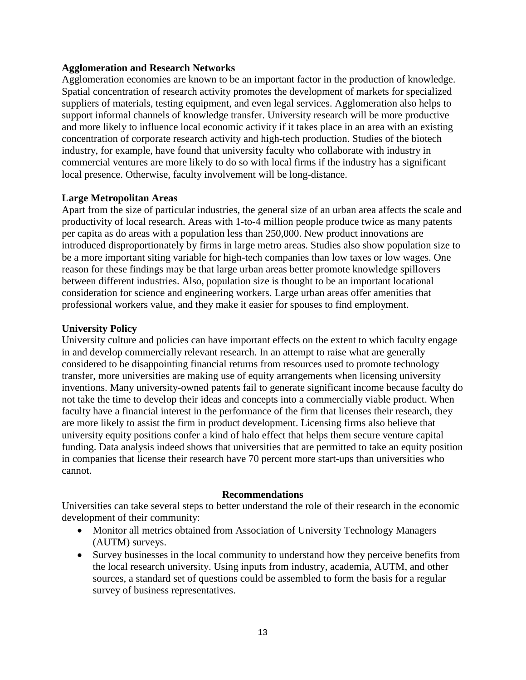#### **Agglomeration and Research Networks**

Agglomeration economies are known to be an important factor in the production of knowledge. Spatial concentration of research activity promotes the development of markets for specialized suppliers of materials, testing equipment, and even legal services. Agglomeration also helps to support informal channels of knowledge transfer. University research will be more productive and more likely to influence local economic activity if it takes place in an area with an existing concentration of corporate research activity and high-tech production. Studies of the biotech industry, for example, have found that university faculty who collaborate with industry in commercial ventures are more likely to do so with local firms if the industry has a significant local presence. Otherwise, faculty involvement will be long-distance.

#### **Large Metropolitan Areas**

Apart from the size of particular industries, the general size of an urban area affects the scale and productivity of local research. Areas with 1-to-4 million people produce twice as many patents per capita as do areas with a population less than 250,000. New product innovations are introduced disproportionately by firms in large metro areas. Studies also show population size to be a more important siting variable for high-tech companies than low taxes or low wages. One reason for these findings may be that large urban areas better promote knowledge spillovers between different industries. Also, population size is thought to be an important locational consideration for science and engineering workers. Large urban areas offer amenities that professional workers value, and they make it easier for spouses to find employment.

#### **University Policy**

University culture and policies can have important effects on the extent to which faculty engage in and develop commercially relevant research. In an attempt to raise what are generally considered to be disappointing financial returns from resources used to promote technology transfer, more universities are making use of equity arrangements when licensing university inventions. Many university-owned patents fail to generate significant income because faculty do not take the time to develop their ideas and concepts into a commercially viable product. When faculty have a financial interest in the performance of the firm that licenses their research, they are more likely to assist the firm in product development. Licensing firms also believe that university equity positions confer a kind of halo effect that helps them secure venture capital funding. Data analysis indeed shows that universities that are permitted to take an equity position in companies that license their research have 70 percent more start-ups than universities who cannot.

#### **Recommendations**

Universities can take several steps to better understand the role of their research in the economic development of their community:

- Monitor all metrics obtained from Association of University Technology Managers (AUTM) surveys.
- Survey businesses in the local community to understand how they perceive benefits from the local research university. Using inputs from industry, academia, AUTM, and other sources, a standard set of questions could be assembled to form the basis for a regular survey of business representatives.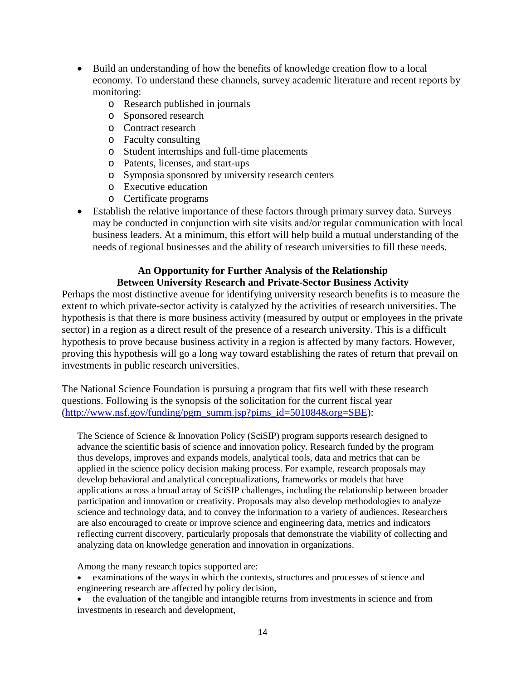- Build an understanding of how the benefits of knowledge creation flow to a local economy. To understand these channels, survey academic literature and recent reports by monitoring:
	- o Research published in journals
	- o Sponsored research
	- o Contract research
	- o Faculty consulting
	- o Student internships and full-time placements
	- o Patents, licenses, and start-ups
	- o Symposia sponsored by university research centers
	- o Executive education
	- o Certificate programs
- Establish the relative importance of these factors through primary survey data. Surveys may be conducted in conjunction with site visits and/or regular communication with local business leaders. At a minimum, this effort will help build a mutual understanding of the needs of regional businesses and the ability of research universities to fill these needs.

## **An Opportunity for Further Analysis of the Relationship Between University Research and Private-Sector Business Activity**

Perhaps the most distinctive avenue for identifying university research benefits is to measure the extent to which private-sector activity is catalyzed by the activities of research universities. The hypothesis is that there is more business activity (measured by output or employees in the private sector) in a region as a direct result of the presence of a research university. This is a difficult hypothesis to prove because business activity in a region is affected by many factors. However, proving this hypothesis will go a long way toward establishing the rates of return that prevail on investments in public research universities.

The National Science Foundation is pursuing a program that fits well with these research questions. Following is the synopsis of the solicitation for the current fiscal year [\(http://www.nsf.gov/funding/pgm\\_summ.jsp?pims\\_id=501084&org=SBE\)](http://www.nsf.gov/funding/pgm_summ.jsp?pims_id=501084&org=SBE):

The Science of Science & Innovation Policy (SciSIP) program supports research designed to advance the scientific basis of science and innovation policy. Research funded by the program thus develops, improves and expands models, analytical tools, data and metrics that can be applied in the science policy decision making process. For example, research proposals may develop behavioral and analytical conceptualizations, frameworks or models that have applications across a broad array of SciSIP challenges, including the relationship between broader participation and innovation or creativity. Proposals may also develop methodologies to analyze science and technology data, and to convey the information to a variety of audiences. Researchers are also encouraged to create or improve science and engineering data, metrics and indicators reflecting current discovery, particularly proposals that demonstrate the viability of collecting and analyzing data on knowledge generation and innovation in organizations.

Among the many research topics supported are:

- examinations of the ways in which the contexts, structures and processes of science and engineering research are affected by policy decision,
- the evaluation of the tangible and intangible returns from investments in science and from investments in research and development,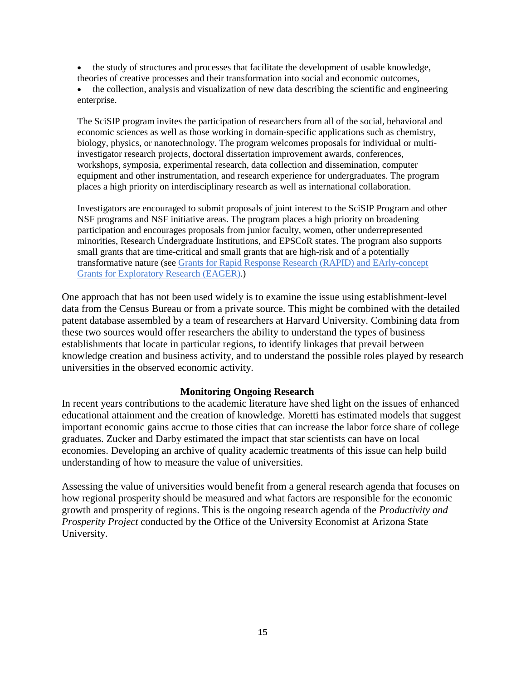• the study of structures and processes that facilitate the development of usable knowledge, theories of creative processes and their transformation into social and economic outcomes,

• the collection, analysis and visualization of new data describing the scientific and engineering enterprise.

The SciSIP program invites the participation of researchers from all of the social, behavioral and economic sciences as well as those working in domain-specific applications such as chemistry, biology, physics, or nanotechnology. The program welcomes proposals for individual or multiinvestigator research projects, doctoral dissertation improvement awards, conferences, workshops, symposia, experimental research, data collection and dissemination, computer equipment and other instrumentation, and research experience for undergraduates. The program places a high priority on interdisciplinary research as well as international collaboration.

Investigators are encouraged to submit proposals of joint interest to the SciSIP Program and other NSF programs and NSF initiative areas. The program places a high priority on broadening participation and encourages proposals from junior faculty, women, other underrepresented minorities, Research Undergraduate Institutions, and EPSCoR states. The program also supports small grants that are time-critical and small grants that are high-risk and of a potentially transformative nature (see [Grants for Rapid Response Research \(RAPID\) and EArly-concept](http://www.nsf.gov/pubs/policydocs/pappguide/nsf09_1/gpg_2.jsp%23IID1)  [Grants for Exploratory Research \(EAGER\).](http://www.nsf.gov/pubs/policydocs/pappguide/nsf09_1/gpg_2.jsp%23IID1))

One approach that has not been used widely is to examine the issue using establishment-level data from the Census Bureau or from a private source. This might be combined with the detailed patent database assembled by a team of researchers at Harvard University. Combining data from these two sources would offer researchers the ability to understand the types of business establishments that locate in particular regions, to identify linkages that prevail between knowledge creation and business activity, and to understand the possible roles played by research universities in the observed economic activity.

#### **Monitoring Ongoing Research**

In recent years contributions to the academic literature have shed light on the issues of enhanced educational attainment and the creation of knowledge. Moretti has estimated models that suggest important economic gains accrue to those cities that can increase the labor force share of college graduates. Zucker and Darby estimated the impact that star scientists can have on local economies. Developing an archive of quality academic treatments of this issue can help build understanding of how to measure the value of universities.

Assessing the value of universities would benefit from a general research agenda that focuses on how regional prosperity should be measured and what factors are responsible for the economic growth and prosperity of regions. This is the ongoing research agenda of the *Productivity and Prosperity Project* conducted by the Office of the University Economist at Arizona State University.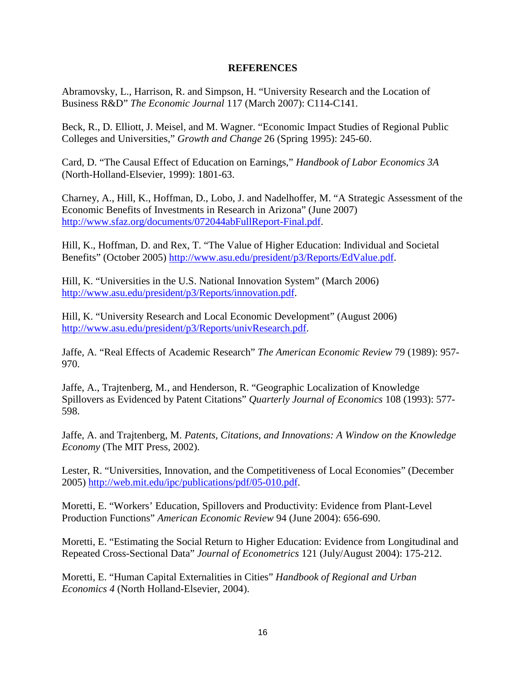#### **REFERENCES**

Abramovsky, L., Harrison, R. and Simpson, H. "University Research and the Location of Business R&D" *The Economic Journal* 117 (March 2007): C114-C141.

Beck, R., D. Elliott, J. Meisel, and M. Wagner. "Economic Impact Studies of Regional Public Colleges and Universities," *Growth and Change* 26 (Spring 1995): 245-60.

Card, D. "The Causal Effect of Education on Earnings," *Handbook of Labor Economics 3A* (North-Holland-Elsevier, 1999): 1801-63.

Charney, A., Hill, K., Hoffman, D., Lobo, J. and Nadelhoffer, M. "A Strategic Assessment of the Economic Benefits of Investments in Research in Arizona" (June 2007) [http://www.sfaz.org/documents/072044abFullReport-Final.pdf.](http://www.sfaz.org/documents/072044abFullReport-Final.pdf)

Hill, K., Hoffman, D. and Rex, T. "The Value of Higher Education: Individual and Societal Benefits" (October 2005) [http://www.asu.edu/president/p3/Reports/EdValue.pdf.](http://www.asu.edu/president/p3/Reports/EdValue.pdf)

Hill, K. "Universities in the U.S. National Innovation System" (March 2006) [http://www.asu.edu/president/p3/Reports/innovation.pdf.](http://www.asu.edu/president/p3/Reports/innovation.pdf)

Hill, K. "University Research and Local Economic Development" (August 2006) [http://www.asu.edu/president/p3/Reports/univResearch.pdf.](http://www.asu.edu/president/p3/Reports/univResearch.pdf)

Jaffe, A. "Real Effects of Academic Research" *The American Economic Review* 79 (1989): 957- 970.

Jaffe, A., Trajtenberg, M., and Henderson, R. "Geographic Localization of Knowledge Spillovers as Evidenced by Patent Citations" *Quarterly Journal of Economics* 108 (1993): 577- 598.

Jaffe, A. and Trajtenberg, M. *Patents, Citations, and Innovations: A Window on the Knowledge Economy* (The MIT Press, 2002).

Lester, R. "Universities, Innovation, and the Competitiveness of Local Economies" (December 2005) [http://web.mit.edu/ipc/publications/pdf/05-010.pdf.](http://web.mit.edu/ipc/publications/pdf/05-010.pdf)

Moretti, E. "Workers' Education, Spillovers and Productivity: Evidence from Plant-Level Production Functions" *American Economic Review* 94 (June 2004): 656-690.

Moretti, E. "Estimating the Social Return to Higher Education: Evidence from Longitudinal and Repeated Cross-Sectional Data" *Journal of Econometrics* 121 (July/August 2004): 175-212.

Moretti, E. "Human Capital Externalities in Cities" *Handbook of Regional and Urban Economics 4* (North Holland-Elsevier, 2004).